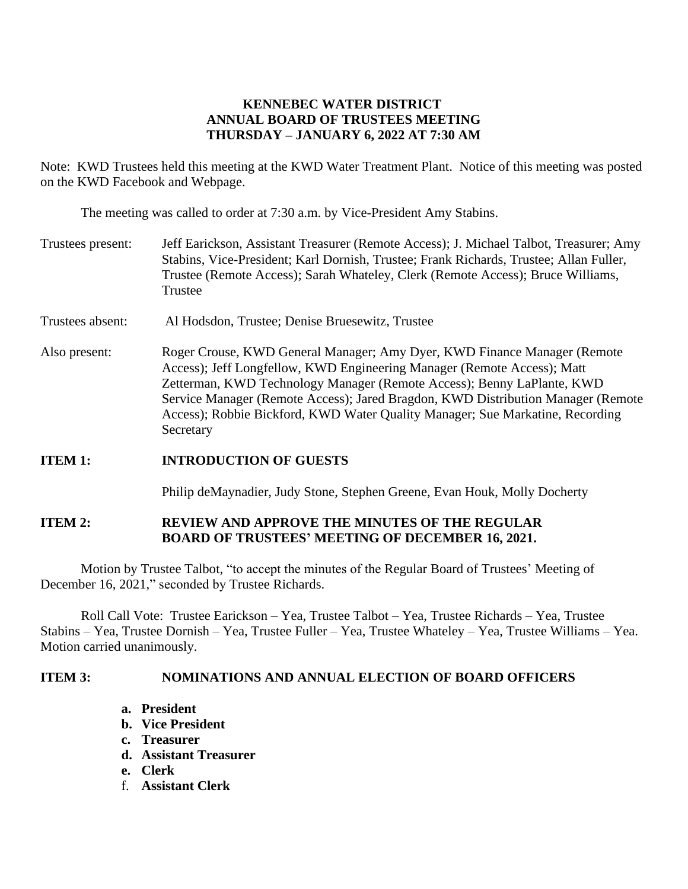# **KENNEBEC WATER DISTRICT ANNUAL BOARD OF TRUSTEES MEETING THURSDAY – JANUARY 6, 2022 AT 7:30 AM**

Note: KWD Trustees held this meeting at the KWD Water Treatment Plant. Notice of this meeting was posted on the KWD Facebook and Webpage.

The meeting was called to order at 7:30 a.m. by Vice-President Amy Stabins.

- Trustees present: Jeff Earickson, Assistant Treasurer (Remote Access); J. Michael Talbot, Treasurer; Amy Stabins, Vice-President; Karl Dornish, Trustee; Frank Richards, Trustee; Allan Fuller, Trustee (Remote Access); Sarah Whateley, Clerk (Remote Access); Bruce Williams, Trustee
- Trustees absent: Al Hodsdon, Trustee; Denise Bruesewitz, Trustee
- Also present: Roger Crouse, KWD General Manager; Amy Dyer, KWD Finance Manager (Remote Access); Jeff Longfellow, KWD Engineering Manager (Remote Access); Matt Zetterman, KWD Technology Manager (Remote Access); Benny LaPlante, KWD Service Manager (Remote Access); Jared Bragdon, KWD Distribution Manager (Remote Access); Robbie Bickford, KWD Water Quality Manager; Sue Markatine, Recording Secretary

#### **ITEM 1: INTRODUCTION OF GUESTS**

Philip deMaynadier, Judy Stone, Stephen Greene, Evan Houk, Molly Docherty

## **ITEM 2: REVIEW AND APPROVE THE MINUTES OF THE REGULAR BOARD OF TRUSTEES' MEETING OF DECEMBER 16, 2021.**

Motion by Trustee Talbot, "to accept the minutes of the Regular Board of Trustees' Meeting of December 16, 2021," seconded by Trustee Richards.

Roll Call Vote: Trustee Earickson – Yea, Trustee Talbot – Yea, Trustee Richards – Yea, Trustee Stabins – Yea, Trustee Dornish – Yea, Trustee Fuller – Yea, Trustee Whateley – Yea, Trustee Williams – Yea. Motion carried unanimously.

#### **ITEM 3: NOMINATIONS AND ANNUAL ELECTION OF BOARD OFFICERS**

- **a. President**
- **b. Vice President**
- **c. Treasurer**
- **d. Assistant Treasurer**
- **e. Clerk**
- f. **Assistant Clerk**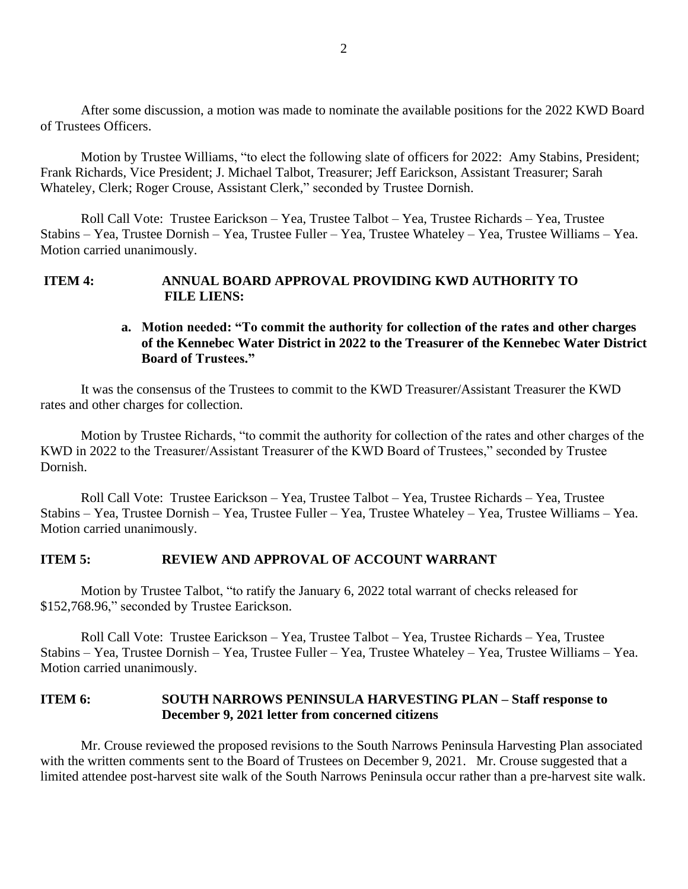After some discussion, a motion was made to nominate the available positions for the 2022 KWD Board of Trustees Officers.

Motion by Trustee Williams, "to elect the following slate of officers for 2022: Amy Stabins, President; Frank Richards, Vice President; J. Michael Talbot, Treasurer; Jeff Earickson, Assistant Treasurer; Sarah Whateley, Clerk; Roger Crouse, Assistant Clerk," seconded by Trustee Dornish.

Roll Call Vote: Trustee Earickson – Yea, Trustee Talbot – Yea, Trustee Richards – Yea, Trustee Stabins – Yea, Trustee Dornish – Yea, Trustee Fuller – Yea, Trustee Whateley – Yea, Trustee Williams – Yea. Motion carried unanimously.

#### **ITEM 4: ANNUAL BOARD APPROVAL PROVIDING KWD AUTHORITY TO FILE LIENS:**

## **a. Motion needed: "To commit the authority for collection of the rates and other charges of the Kennebec Water District in 2022 to the Treasurer of the Kennebec Water District Board of Trustees."**

It was the consensus of the Trustees to commit to the KWD Treasurer/Assistant Treasurer the KWD rates and other charges for collection.

Motion by Trustee Richards, "to commit the authority for collection of the rates and other charges of the KWD in 2022 to the Treasurer/Assistant Treasurer of the KWD Board of Trustees," seconded by Trustee Dornish.

Roll Call Vote: Trustee Earickson – Yea, Trustee Talbot – Yea, Trustee Richards – Yea, Trustee Stabins – Yea, Trustee Dornish – Yea, Trustee Fuller – Yea, Trustee Whateley – Yea, Trustee Williams – Yea. Motion carried unanimously.

#### **ITEM 5: REVIEW AND APPROVAL OF ACCOUNT WARRANT**

Motion by Trustee Talbot, "to ratify the January 6, 2022 total warrant of checks released for \$152,768.96," seconded by Trustee Earickson.

Roll Call Vote: Trustee Earickson – Yea, Trustee Talbot – Yea, Trustee Richards – Yea, Trustee Stabins – Yea, Trustee Dornish – Yea, Trustee Fuller – Yea, Trustee Whateley – Yea, Trustee Williams – Yea. Motion carried unanimously.

#### **ITEM 6: SOUTH NARROWS PENINSULA HARVESTING PLAN – Staff response to December 9, 2021 letter from concerned citizens**

Mr. Crouse reviewed the proposed revisions to the South Narrows Peninsula Harvesting Plan associated with the written comments sent to the Board of Trustees on December 9, 2021. Mr. Crouse suggested that a limited attendee post-harvest site walk of the South Narrows Peninsula occur rather than a pre-harvest site walk.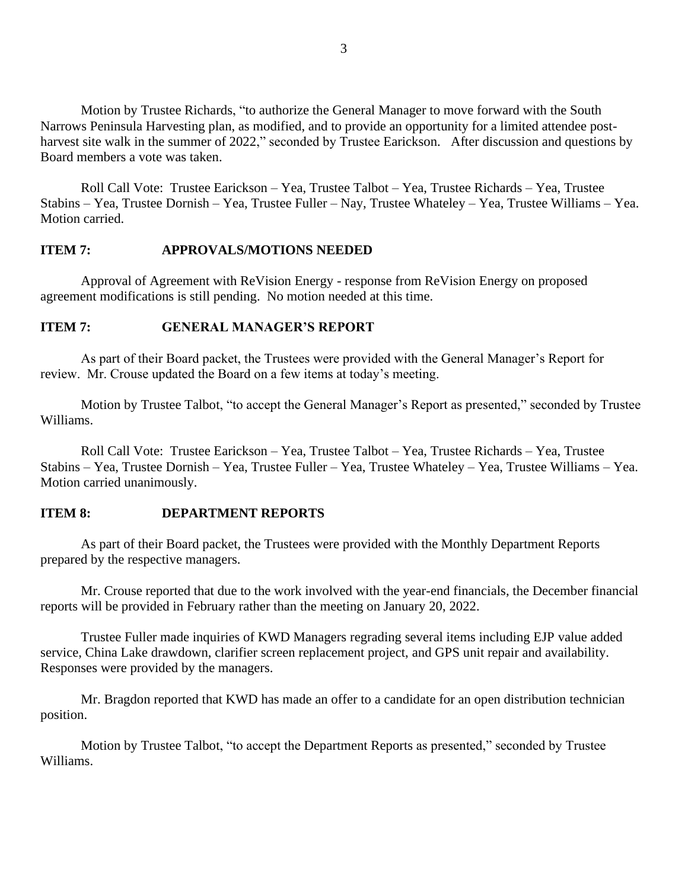Motion by Trustee Richards, "to authorize the General Manager to move forward with the South Narrows Peninsula Harvesting plan, as modified, and to provide an opportunity for a limited attendee postharvest site walk in the summer of 2022," seconded by Trustee Earickson. After discussion and questions by Board members a vote was taken.

Roll Call Vote: Trustee Earickson – Yea, Trustee Talbot – Yea, Trustee Richards – Yea, Trustee Stabins – Yea, Trustee Dornish – Yea, Trustee Fuller – Nay, Trustee Whateley – Yea, Trustee Williams – Yea. Motion carried.

### **ITEM 7: APPROVALS/MOTIONS NEEDED**

Approval of Agreement with ReVision Energy - response from ReVision Energy on proposed agreement modifications is still pending. No motion needed at this time.

### **ITEM 7: GENERAL MANAGER'S REPORT**

As part of their Board packet, the Trustees were provided with the General Manager's Report for review. Mr. Crouse updated the Board on a few items at today's meeting.

Motion by Trustee Talbot, "to accept the General Manager's Report as presented," seconded by Trustee Williams.

Roll Call Vote: Trustee Earickson – Yea, Trustee Talbot – Yea, Trustee Richards – Yea, Trustee Stabins – Yea, Trustee Dornish – Yea, Trustee Fuller – Yea, Trustee Whateley – Yea, Trustee Williams – Yea. Motion carried unanimously.

### **ITEM 8: DEPARTMENT REPORTS**

As part of their Board packet, the Trustees were provided with the Monthly Department Reports prepared by the respective managers.

Mr. Crouse reported that due to the work involved with the year-end financials, the December financial reports will be provided in February rather than the meeting on January 20, 2022.

Trustee Fuller made inquiries of KWD Managers regrading several items including EJP value added service, China Lake drawdown, clarifier screen replacement project, and GPS unit repair and availability. Responses were provided by the managers.

Mr. Bragdon reported that KWD has made an offer to a candidate for an open distribution technician position.

Motion by Trustee Talbot, "to accept the Department Reports as presented," seconded by Trustee Williams.